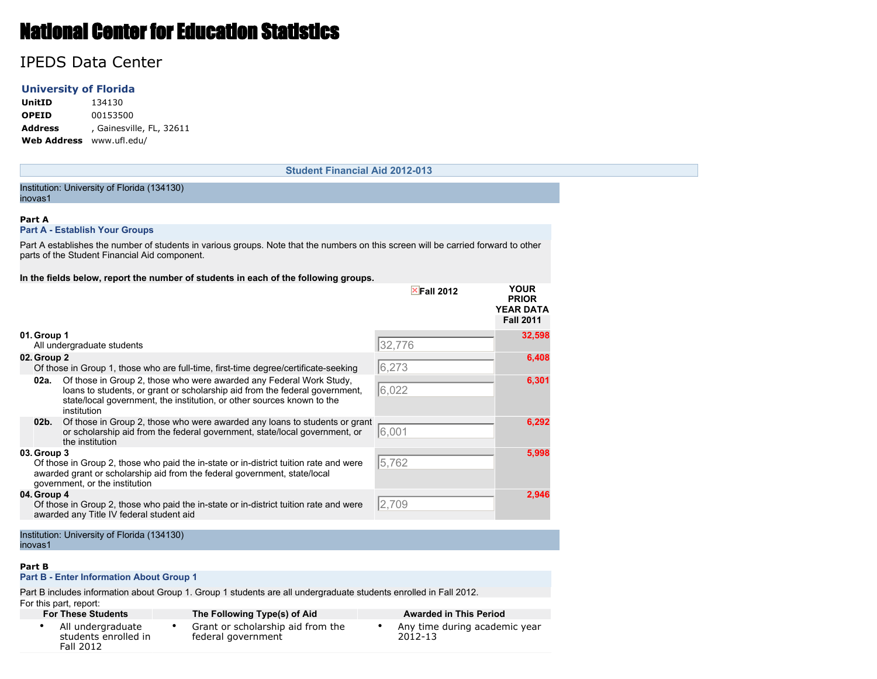# National Center for Education Statistics

## IPEDS Data Center

#### **University of Florida**

**UnitID** 134130 **OPEID** 00153500 **Address** , Gainesville, FL, 32611 **Web Address** www.ufl.edu/

#### **Student Financial Aid 2012-013**

#### Institution: University of Florida (134130) inovas1

#### **Part A**

#### **Part A - Establish Your Groups**

Part A establishes the number of students in various groups. Note that the numbers on this screen will be carried forward to other parts of the Student Financial Aid component.

#### **In the fields below, report the number of students in each of the following groups.**

|                 |                                                                                                                                                                                                                                             | $\times$ Fall 2012 | <b>YOUR</b><br><b>PRIOR</b><br><b>YEAR DATA</b><br><b>Fall 2011</b> |
|-----------------|---------------------------------------------------------------------------------------------------------------------------------------------------------------------------------------------------------------------------------------------|--------------------|---------------------------------------------------------------------|
| 01. Group 1     | All undergraduate students                                                                                                                                                                                                                  | 32,776             | 32,598                                                              |
| 02. Group 2     | Of those in Group 1, those who are full-time, first-time degree/certificate-seeking                                                                                                                                                         | 6,273              | 6,408                                                               |
| 02a.            | Of those in Group 2, those who were awarded any Federal Work Study,<br>loans to students, or grant or scholarship aid from the federal government,<br>state/local government, the institution, or other sources known to the<br>institution | 6,022              | 6,301                                                               |
| 02 <sub>b</sub> | Of those in Group 2, those who were awarded any loans to students or grant<br>or scholarship aid from the federal government, state/local government, or<br>the institution                                                                 | 6,001              | 6,292                                                               |
| 03. Group 3     | Of those in Group 2, those who paid the in-state or in-district tuition rate and were<br>awarded grant or scholarship aid from the federal government, state/local<br>government, or the institution                                        | 5,762              | 5,998                                                               |
| 04. Group 4     | Of those in Group 2, those who paid the in-state or in-district tuition rate and were<br>awarded any Title IV federal student aid                                                                                                           | 2,709              | 2,946                                                               |

#### Institution: University of Florida (134130) inovas1

#### **Part B**

#### **Part B - Enter Information About Group 1**

Part B includes information about Group 1. Group 1 students are all undergraduate students enrolled in Fall 2012. For this part, report:

#### **For These Students The Following Type(s) of Aid Awarded in This Period** • All undergraduate students enrolled in Fall 2012 • Grant or scholarship aid from the federal government • Any time during academic year 2012-13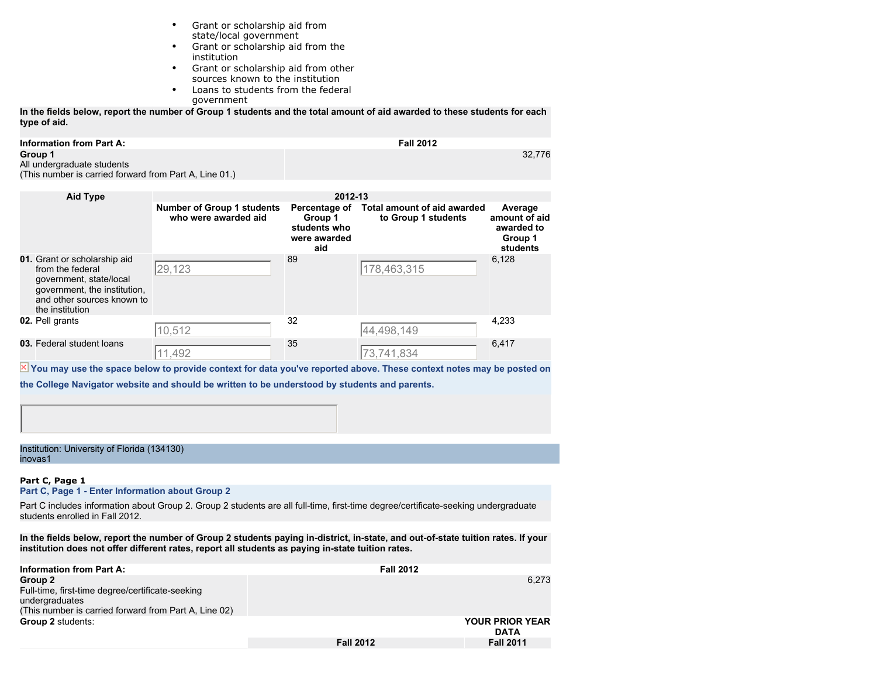- Grant or scholarship aid from state/local government
- Grant or scholarship aid from the institution
- Grant or scholarship aid from other sources known to the institution
- Loans to students from the federal government

**In the fields below, report the number of Group 1 students and the total amount of aid awarded to these students for each type of aid.**

| <b>Information from Part A:</b>                        | <b>Fall 2012</b> |
|--------------------------------------------------------|------------------|
| Group 1                                                | 32.776           |
| All undergraduate students                             |                  |
| (This number is carried forward from Part A, Line 01.) |                  |

| <b>Aid Type</b>                                                                                                                                              | 2012-13                                                   |                                                                 |                                                           |                                                               |  |
|--------------------------------------------------------------------------------------------------------------------------------------------------------------|-----------------------------------------------------------|-----------------------------------------------------------------|-----------------------------------------------------------|---------------------------------------------------------------|--|
|                                                                                                                                                              | <b>Number of Group 1 students</b><br>who were awarded aid | Percentage of<br>Group 1<br>students who<br>were awarded<br>aid | <b>Total amount of aid awarded</b><br>to Group 1 students | Average<br>amount of aid<br>awarded to<br>Group 1<br>students |  |
| 01. Grant or scholarship aid<br>from the federal<br>government, state/local<br>government, the institution,<br>and other sources known to<br>the institution | 29,123                                                    | 89                                                              | 178,463,315                                               | 6,128                                                         |  |
| 02. Pell grants                                                                                                                                              | 10,512                                                    | 32                                                              | 44,498,149                                                | 4,233                                                         |  |
| 03. Federal student loans                                                                                                                                    | 11,492                                                    | 35                                                              | 73,741,834                                                | 6,417                                                         |  |

 $\overline{\mathbb{X}}$  You may use the space below to provide context for data you've reported above. These context notes may be posted on

**the College Navigator website and should be written to be understood by students and parents.**

Institution: University of Florida (134130) inovas1

#### **Part C, Page 1**

**Part C, Page 1 - Enter Information about Group 2**

Part C includes information about Group 2. Group 2 students are all full-time, first-time degree/certificate-seeking undergraduate students enrolled in Fall 2012.

**In the fields below, report the number of Group 2 students paying in-district, in-state, and out-of-state tuition rates. If your institution does not offer different rates, report all students as paying in-state tuition rates.**

| <b>Information from Part A:</b>                                                                                                        | <b>Fall 2012</b> |                                       |
|----------------------------------------------------------------------------------------------------------------------------------------|------------------|---------------------------------------|
| Group 2<br>Full-time, first-time degree/certificate-seeking<br>undergraduates<br>(This number is carried forward from Part A, Line 02) |                  | 6.273                                 |
| <b>Group 2 students:</b>                                                                                                               |                  | <b>YOUR PRIOR YEAR</b><br><b>DATA</b> |
|                                                                                                                                        | <b>Fall 2012</b> | <b>Fall 2011</b>                      |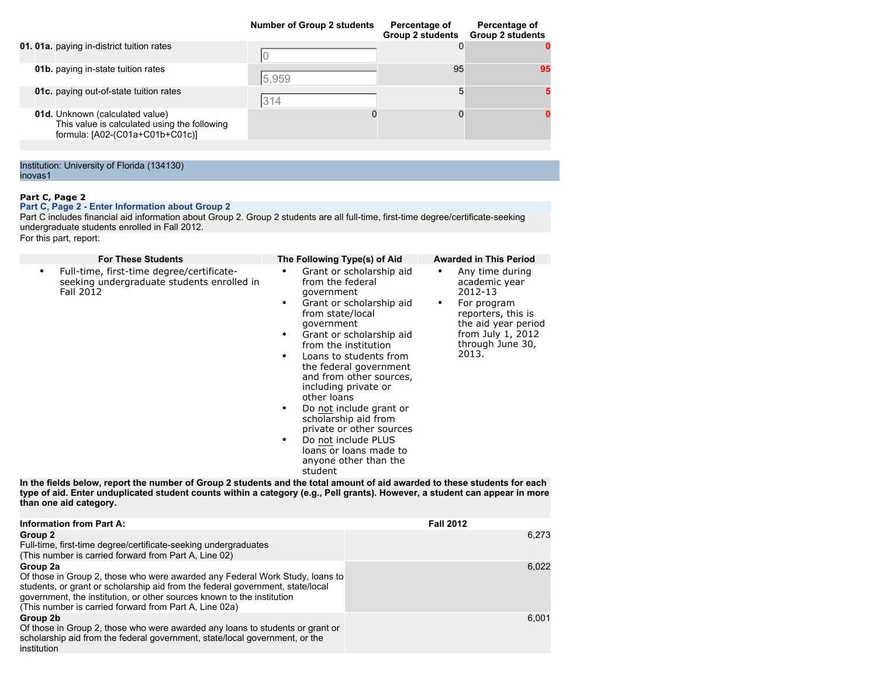|                                                                                                                    | <b>Number of Group 2 students</b> | Percentage of<br><b>Group 2 students</b> | Percentage of<br><b>Group 2 students</b> |
|--------------------------------------------------------------------------------------------------------------------|-----------------------------------|------------------------------------------|------------------------------------------|
| 01. 01a. paying in-district tuition rates                                                                          |                                   |                                          |                                          |
| 01b. paying in-state tuition rates                                                                                 | 5,959                             | 95                                       | 95                                       |
| <b>01c.</b> paying out-of-state tuition rates                                                                      | 314                               | 5                                        |                                          |
| 01d. Unknown (calculated value)<br>This value is calculated using the following<br>formula: [A02-(C01a+C01b+C01c)] |                                   |                                          |                                          |
|                                                                                                                    |                                   |                                          |                                          |

Institution: University of Florida (134130) inovas1

### **Part C, Page 2**

**Part C, Page 2 - Enter Information about Group 2**

Part C includes financial aid information about Group 2. Group 2 students are all full-time, first-time degree/certificate-seeking undergraduate students enrolled in Fall 2012.

For this part, report:

| <b>For These Students</b>                                                                                                                                                                                                         | The Following Type(s) of Aid                                                                                                                                                                                                                                                                                                                                                                                                                                                                            | <b>Awarded in This Period</b>                                                                                                                                         |
|-----------------------------------------------------------------------------------------------------------------------------------------------------------------------------------------------------------------------------------|---------------------------------------------------------------------------------------------------------------------------------------------------------------------------------------------------------------------------------------------------------------------------------------------------------------------------------------------------------------------------------------------------------------------------------------------------------------------------------------------------------|-----------------------------------------------------------------------------------------------------------------------------------------------------------------------|
| Full-time, first-time degree/certificate-<br>seeking undergraduate students enrolled in<br>Fall 2012<br>In the fields below, report the number of Group 2 students and the total amount of aid awarded to these students for each | Grant or scholarship aid<br>٠<br>from the federal<br>qovernment<br>Grant or scholarship aid<br>٠<br>from state/local<br>qovernment<br>Grant or scholarship aid<br>٠<br>from the institution<br>Loans to students from<br>$\bullet$<br>the federal government<br>and from other sources,<br>including private or<br>other loans<br>Do not include grant or<br>scholarship aid from<br>private or other sources<br>Do not include PLUS<br>٠<br>loans or loans made to<br>anyone other than the<br>student | Any time during<br>٠<br>academic year<br>2012-13<br>For program<br>٠<br>reporters, this is<br>the aid year period<br>from July $1, 2012$<br>through June 30,<br>2013. |
| , af ald - Faten in din Hasted stident seinite inlikke a-satensan form - Ball mosateV-lleiteisen -                                                                                                                                |                                                                                                                                                                                                                                                                                                                                                                                                                                                                                                         |                                                                                                                                                                       |

**type of aid. Enter unduplicated student counts within a category (e.g., Pell grants). However, a student can appear in more than one aid category.**

| <b>Information from Part A:</b>                                                                                                                                                                                                                                                                                | <b>Fall 2012</b> |
|----------------------------------------------------------------------------------------------------------------------------------------------------------------------------------------------------------------------------------------------------------------------------------------------------------------|------------------|
| Group 2<br>Full-time, first-time degree/certificate-seeking undergraduates                                                                                                                                                                                                                                     | 6.273            |
| (This number is carried forward from Part A, Line 02)                                                                                                                                                                                                                                                          |                  |
| Group 2a<br>Of those in Group 2, those who were awarded any Federal Work Study, loans to<br>students, or grant or scholarship aid from the federal government, state/local<br>government, the institution, or other sources known to the institution<br>(This number is carried forward from Part A, Line 02a) | 6.022            |
| Group 2b<br>Of those in Group 2, those who were awarded any loans to students or grant or<br>scholarship aid from the federal government, state/local government, or the<br>institution                                                                                                                        | 6.001            |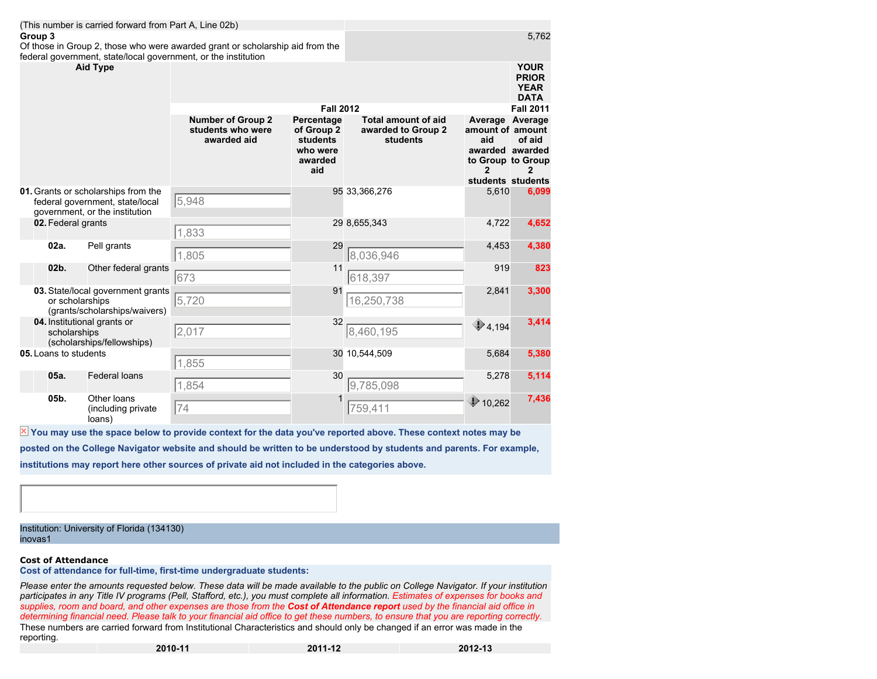|                 | (This number is carried forward from Part A, Line 02b)<br>Group 3<br>Of those in Group 2, those who were awarded grant or scholarship aid from the<br>federal government, state/local government, or the institution |                                                                                                          |                                                                                                                 |                                                                               |                                                              |                                                                                                         | 5,762                                                     |
|-----------------|----------------------------------------------------------------------------------------------------------------------------------------------------------------------------------------------------------------------|----------------------------------------------------------------------------------------------------------|-----------------------------------------------------------------------------------------------------------------|-------------------------------------------------------------------------------|--------------------------------------------------------------|---------------------------------------------------------------------------------------------------------|-----------------------------------------------------------|
| <b>Aid Type</b> |                                                                                                                                                                                                                      |                                                                                                          |                                                                                                                 |                                                                               |                                                              |                                                                                                         | <b>YOUR</b><br><b>PRIOR</b><br><b>YEAR</b><br><b>DATA</b> |
|                 |                                                                                                                                                                                                                      |                                                                                                          |                                                                                                                 | <b>Fall 2012</b>                                                              |                                                              |                                                                                                         | <b>Fall 2011</b>                                          |
|                 |                                                                                                                                                                                                                      |                                                                                                          | <b>Number of Group 2</b><br>students who were<br>awarded aid                                                    | Percentage<br>of Group <sub>2</sub><br>students<br>who were<br>awarded<br>aid | <b>Total amount of aid</b><br>awarded to Group 2<br>students | Average Average<br>amount of amount<br>aid<br>awarded awarded<br>to Group to Group<br>students students | of aid                                                    |
|                 |                                                                                                                                                                                                                      | 01. Grants or scholarships from the<br>federal government, state/local<br>government, or the institution | 5,948                                                                                                           |                                                                               | 95 33,366,276                                                | 5,610                                                                                                   | 6,099                                                     |
|                 | 02. Federal grants                                                                                                                                                                                                   |                                                                                                          | 1,833                                                                                                           |                                                                               | 29 8,655,343                                                 | 4,722                                                                                                   | 4,652                                                     |
|                 | 02a.                                                                                                                                                                                                                 | Pell grants                                                                                              | 1,805                                                                                                           | 29                                                                            | 8,036,946                                                    | 4,453                                                                                                   | 4,380                                                     |
|                 | 02b.                                                                                                                                                                                                                 | Other federal grants                                                                                     | 673                                                                                                             | 11                                                                            | 618,397                                                      | 919                                                                                                     | 823                                                       |
|                 | or scholarships                                                                                                                                                                                                      | 03. State/local government grants<br>(grants/scholarships/waivers)                                       | 5,720                                                                                                           | 91                                                                            | 16,250,738                                                   | 2,841                                                                                                   | 3,300                                                     |
|                 | scholarships                                                                                                                                                                                                         | 04. Institutional grants or<br>(scholarships/fellowships)                                                | 2,017                                                                                                           | 32                                                                            | 8,460,195                                                    | $\bigcirc$ 4,194                                                                                        | 3,414                                                     |
|                 | 05. Loans to students                                                                                                                                                                                                |                                                                                                          | 1,855                                                                                                           |                                                                               | 30 10,544,509                                                | 5,684                                                                                                   | 5,380                                                     |
|                 | 05a.                                                                                                                                                                                                                 | <b>Federal loans</b>                                                                                     | 1,854                                                                                                           | 30                                                                            | 9,785,098                                                    | 5,278                                                                                                   | 5,114                                                     |
|                 | 05b.                                                                                                                                                                                                                 | Other loans<br>(including private<br>loans)                                                              | 74                                                                                                              |                                                                               | 759,411                                                      | $\bigcirc$ 10,262                                                                                       | 7,436                                                     |
|                 |                                                                                                                                                                                                                      |                                                                                                          | X You may use the space below to provide context for the data you've reported above. These context notes may be |                                                                               |                                                              |                                                                                                         |                                                           |

**posted on the College Navigator website and should be written to be understood by students and parents. For example, institutions may report here other sources of private aid not included in the categories above.**

Institution: University of Florida (134130) inovas1

#### **Cost of Attendance**

**Cost of attendance for full-time, first-time undergraduate students:**

*Please enter the amounts requested below. These data will be made available to the public on College Navigator. If your institution participates in any Title IV programs (Pell, Stafford, etc.), you must complete all information. Estimates of expenses for books and supplies, room and board, and other expenses are those from the Cost of Attendance report used by the financial aid office in determining financial need. Please talk to your financial aid office to get these numbers, to ensure that you are reporting correctly.* These numbers are carried forward from Institutional Characteristics and should only be changed if an error was made in the reporting.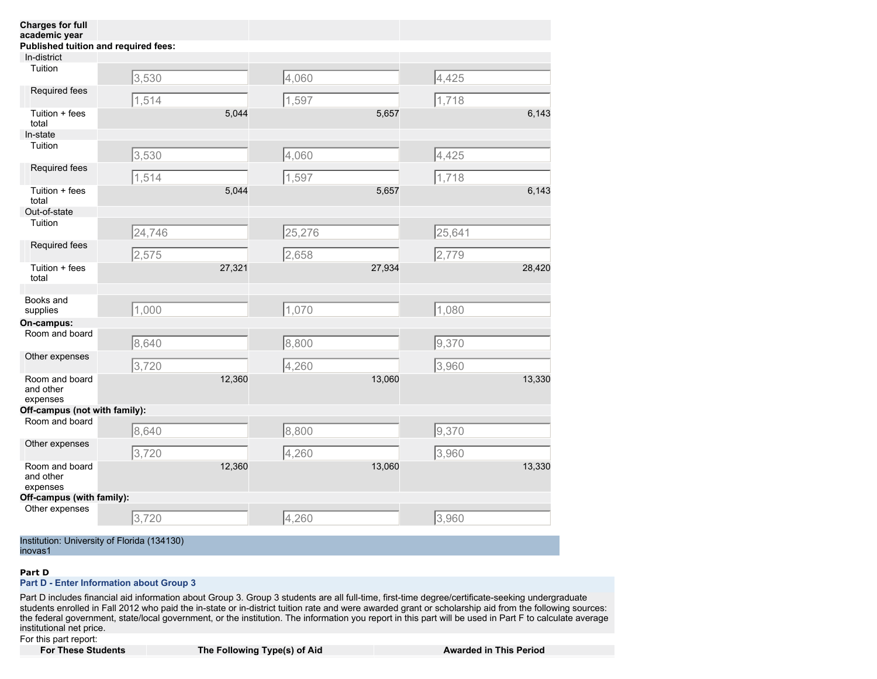| <b>Charges for full</b><br>academic year |                                      |        |        |        |                 |        |
|------------------------------------------|--------------------------------------|--------|--------|--------|-----------------|--------|
|                                          | Published tuition and required fees: |        |        |        |                 |        |
| In-district                              |                                      |        |        |        |                 |        |
| Tuition                                  | 3,530                                |        | 4,060  |        | 4,425           |        |
| Required fees                            | 1,514                                |        | 1,597  |        | 1,718           |        |
| Tuition + fees<br>total                  |                                      | 5,044  |        | 5,657  |                 | 6,143  |
| In-state                                 |                                      |        |        |        |                 |        |
| Tuition                                  | 3,530                                |        | 4,060  |        | 4,425           |        |
| Required fees                            | 1,514                                |        | 1,597  |        | 1,718           |        |
| Tuition + fees<br>total                  |                                      | 5,044  |        | 5,657  |                 | 6,143  |
| Out-of-state                             |                                      |        |        |        |                 |        |
| Tuition                                  | 24,746                               |        | 25,276 |        | $\sqrt{25,641}$ |        |
| Required fees                            | 2,575                                |        | 2,658  |        | 2,779           |        |
| Tuition + fees<br>total                  |                                      | 27,321 |        | 27,934 |                 | 28,420 |
| Books and<br>supplies                    | 1,000                                |        | 1,070  |        | 1,080           |        |
| On-campus:                               |                                      |        |        |        |                 |        |
| Room and board                           | 8,640                                |        | 8,800  |        | 9,370           |        |
| Other expenses                           | 3,720                                |        | 4,260  |        | 3,960           |        |
| Room and board<br>and other<br>expenses  |                                      | 12,360 |        | 13,060 |                 | 13,330 |
| Off-campus (not with family):            |                                      |        |        |        |                 |        |
| Room and board                           | 8,640                                |        | 8,800  |        | 9,370           |        |
| Other expenses                           | 3,720                                |        | 4,260  |        | 3,960           |        |
| Room and board<br>and other<br>expenses  |                                      | 12,360 |        | 13,060 |                 | 13,330 |
| Off-campus (with family):                |                                      |        |        |        |                 |        |
| Other expenses                           | 3,720                                |        | 4,260  |        | 3,960           |        |

Institution: University of Florida (134130) inovas1

#### **Part D**

#### **Part D - Enter Information about Group 3**

Part D includes financial aid information about Group 3. Group 3 students are all full-time, first-time degree/certificate-seeking undergraduate students enrolled in Fall 2012 who paid the in-state or in-district tuition rate and were awarded grant or scholarship aid from the following sources: the federal government, state/local government, or the institution. The information you report in this part will be used in Part F to calculate average institutional net price.

For this part report:<br>**For These Students** 

**Following Type(s) of Aid Awarded in This Period**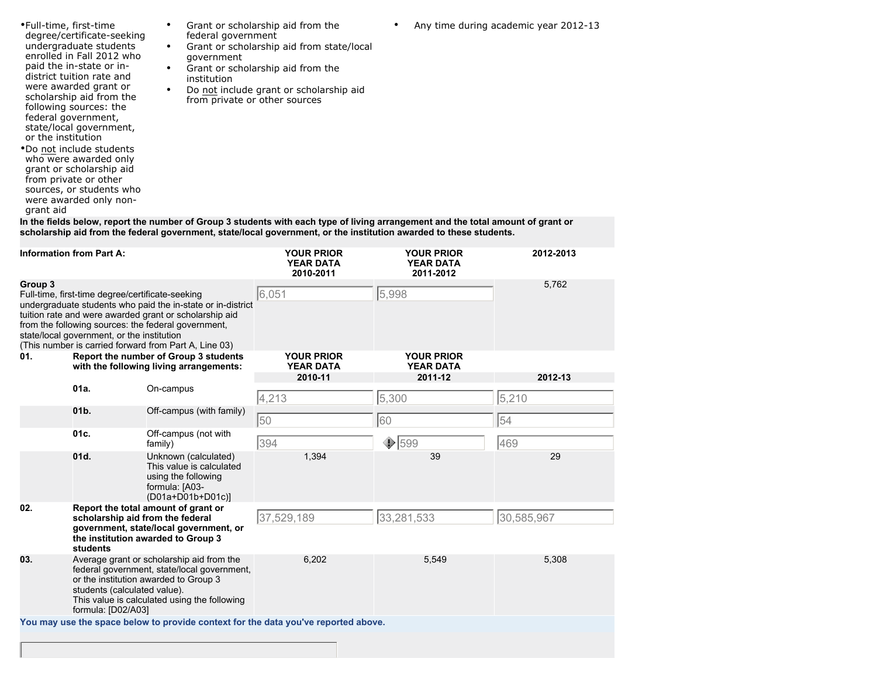| •Full-time, first-time<br>degree/certificate-seeking<br>undergraduate students<br>enrolled in Fall 2012 who<br>paid the in-state or in-<br>district tuition rate and<br>were awarded grant or<br>scholarship aid from the<br>following sources: the<br>federal government,<br>state/local government,<br>or the institution<br>•Do not include students<br>who were awarded only<br>grant or scholarship aid<br>from private or other<br>sources, or students who<br>were awarded only non-<br>grant aid | Grant or scholarship aid from the<br>$\bullet$<br>federal government<br>Grant or scholarship aid from state/local<br>٠<br>government<br>Grant or scholarship aid from the<br>$\bullet$<br>institution<br>Do not include grant or scholarship aid<br>$\bullet$<br>from private or other sources |
|----------------------------------------------------------------------------------------------------------------------------------------------------------------------------------------------------------------------------------------------------------------------------------------------------------------------------------------------------------------------------------------------------------------------------------------------------------------------------------------------------------|------------------------------------------------------------------------------------------------------------------------------------------------------------------------------------------------------------------------------------------------------------------------------------------------|

**In the fields below, report the number of Group 3 students with each type of living arrangement and the total amount of grant or scholarship aid from the federal government, state/local government, or the institution awarded to these students.**

| <b>Information from Part A:</b>                                                                                                                                                                                                                                                                                                                                                                    |                                                    |                                                                                                                                                                                   | <b>YOUR PRIOR</b><br><b>YEAR DATA</b><br>2010-2011                                 | <b>YOUR PRIOR</b><br><b>YEAR DATA</b><br>2011-2012 | 2012-2013  |
|----------------------------------------------------------------------------------------------------------------------------------------------------------------------------------------------------------------------------------------------------------------------------------------------------------------------------------------------------------------------------------------------------|----------------------------------------------------|-----------------------------------------------------------------------------------------------------------------------------------------------------------------------------------|------------------------------------------------------------------------------------|----------------------------------------------------|------------|
| Group 3<br>Full-time, first-time degree/certificate-seeking<br>undergraduate students who paid the in-state or in-district<br>tuition rate and were awarded grant or scholarship aid<br>from the following sources: the federal government,<br>state/local government, or the institution<br>(This number is carried forward from Part A, Line 03)<br>01.<br>Report the number of Group 3 students |                                                    |                                                                                                                                                                                   | 6,051<br><b>YOUR PRIOR</b>                                                         | 5,998<br><b>YOUR PRIOR</b>                         | 5,762      |
|                                                                                                                                                                                                                                                                                                                                                                                                    |                                                    | with the following living arrangements:                                                                                                                                           | <b>YEAR DATA</b><br>2010-11                                                        | <b>YEAR DATA</b><br>2011-12                        | 2012-13    |
|                                                                                                                                                                                                                                                                                                                                                                                                    | $01a$ .                                            | On-campus                                                                                                                                                                         | 4,213                                                                              | 5,300                                              | 5,210      |
|                                                                                                                                                                                                                                                                                                                                                                                                    | 01b.                                               | Off-campus (with family)                                                                                                                                                          | 50                                                                                 | 60                                                 | 54         |
|                                                                                                                                                                                                                                                                                                                                                                                                    | 01c.                                               | Off-campus (not with<br>family)                                                                                                                                                   | 394                                                                                | $\bigcirc$ 599                                     | 469        |
|                                                                                                                                                                                                                                                                                                                                                                                                    | 01d.                                               | Unknown (calculated)<br>This value is calculated<br>using the following<br>formula: [A03-<br>(D01a+D01b+D01c)]                                                                    | 1,394                                                                              | 39                                                 | 29         |
| 02.                                                                                                                                                                                                                                                                                                                                                                                                | scholarship aid from the federal<br>students       | Report the total amount of grant or<br>government, state/local government, or<br>the institution awarded to Group 3                                                               | 37,529,189                                                                         | 33,281,533                                         | 30,585,967 |
| 03.                                                                                                                                                                                                                                                                                                                                                                                                | students (calculated value).<br>formula: [D02/A03] | Average grant or scholarship aid from the<br>federal government, state/local government,<br>or the institution awarded to Group 3<br>This value is calculated using the following | 6,202                                                                              | 5,549                                              | 5,308      |
|                                                                                                                                                                                                                                                                                                                                                                                                    |                                                    |                                                                                                                                                                                   | You may use the space below to provide context for the data you've reported above. |                                                    |            |
|                                                                                                                                                                                                                                                                                                                                                                                                    |                                                    |                                                                                                                                                                                   |                                                                                    |                                                    |            |

• Any time during academic year 2012-13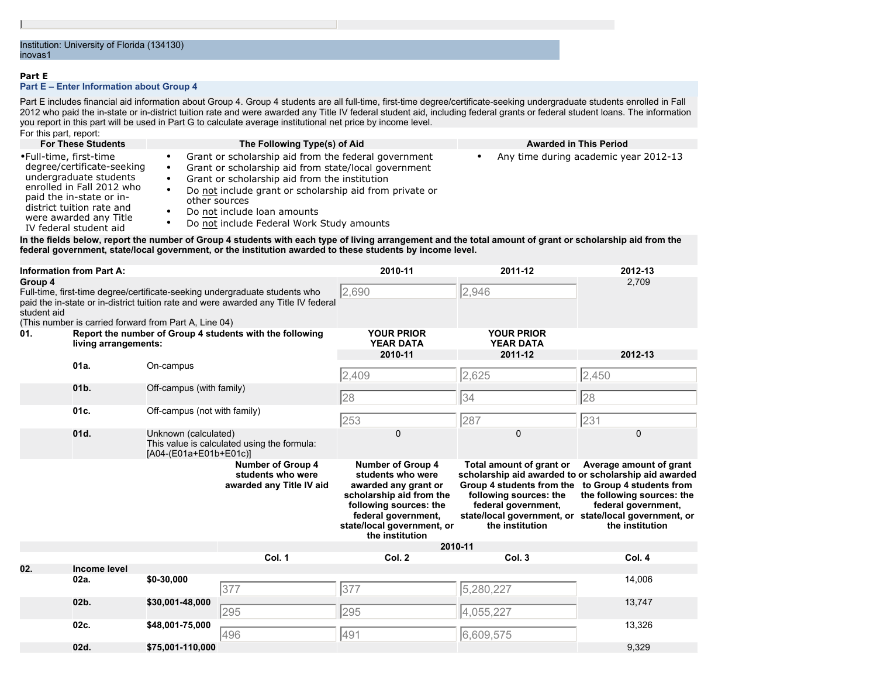#### **Part E**

#### **Part E – Enter Information about Group 4**

Part E includes financial aid information about Group 4. Group 4 students are all full-time, first-time degree/certificate-seeking undergraduate students enrolled in Fall 2012 who paid the in-state or in-district tuition rate and were awarded any Title IV federal student aid, including federal grants or federal student loans. The information you report in this part will be used in Part G to calculate average institutional net price by income level. For this part, report:

| <b>For These Students</b>                                                                                                                                                                                                                                              | The Following Type(s) of Aid                                                                                                                                                                                                                                                                                                                         | <b>Awarded in This Period</b>         |  |  |  |  |
|------------------------------------------------------------------------------------------------------------------------------------------------------------------------------------------------------------------------------------------------------------------------|------------------------------------------------------------------------------------------------------------------------------------------------------------------------------------------------------------------------------------------------------------------------------------------------------------------------------------------------------|---------------------------------------|--|--|--|--|
| •Full-time, first-time<br>degree/certificate-seeking<br>undergraduate students<br>enrolled in Fall 2012 who<br>paid the in-state or in-<br>district tuition rate and<br>were awarded any Title<br>IV federal student aid                                               | Grant or scholarship aid from the federal government<br>Grant or scholarship aid from state/local government<br>٠<br>Grant or scholarship aid from the institution<br>$\bullet$<br>Do not include grant or scholarship aid from private or<br>$\bullet$<br>other sources<br>Do not include loan amounts<br>Do not include Federal Work Study amounts | Any time during academic year 2012-13 |  |  |  |  |
| In the fields below, report the number of Group 4 students with each type of living arrangement and the total amount of grant or scholarship aid from the<br>federal government, state/local government, or the institution awarded to these students by income level. |                                                                                                                                                                                                                                                                                                                                                      |                                       |  |  |  |  |

| <b>Information from Part A:</b> |                                                                                  |                                                       | 2010-11                                                                                                                                                            | 2011-12                                                                                                                                                                                             | 2012-13                                                                                                                                                                                                                                     |                                                                                                                             |
|---------------------------------|----------------------------------------------------------------------------------|-------------------------------------------------------|--------------------------------------------------------------------------------------------------------------------------------------------------------------------|-----------------------------------------------------------------------------------------------------------------------------------------------------------------------------------------------------|---------------------------------------------------------------------------------------------------------------------------------------------------------------------------------------------------------------------------------------------|-----------------------------------------------------------------------------------------------------------------------------|
| Group 4<br>student aid          |                                                                                  | (This number is carried forward from Part A, Line 04) | Full-time, first-time degree/certificate-seeking undergraduate students who<br>paid the in-state or in-district tuition rate and were awarded any Title IV federal | 2,690                                                                                                                                                                                               | 2,946                                                                                                                                                                                                                                       | 2,709                                                                                                                       |
| 01.                             | Report the number of Group 4 students with the following<br>living arrangements: |                                                       |                                                                                                                                                                    | <b>YOUR PRIOR</b><br><b>YEAR DATA</b>                                                                                                                                                               | <b>YOUR PRIOR</b><br><b>YEAR DATA</b>                                                                                                                                                                                                       |                                                                                                                             |
|                                 | 01a.                                                                             | On-campus                                             |                                                                                                                                                                    | 2010-11                                                                                                                                                                                             | 2011-12                                                                                                                                                                                                                                     | 2012-13                                                                                                                     |
|                                 |                                                                                  |                                                       |                                                                                                                                                                    | 2,409                                                                                                                                                                                               | 2,625                                                                                                                                                                                                                                       | 2,450                                                                                                                       |
|                                 | 01b.                                                                             | Off-campus (with family)                              |                                                                                                                                                                    | 28                                                                                                                                                                                                  | 34                                                                                                                                                                                                                                          | 28                                                                                                                          |
|                                 | 01c.                                                                             | Off-campus (not with family)                          |                                                                                                                                                                    | 253                                                                                                                                                                                                 | 287                                                                                                                                                                                                                                         | 231                                                                                                                         |
|                                 | 01d.                                                                             | Unknown (calculated)<br>[A04-(E01a+E01b+E01c)]        | This value is calculated using the formula:                                                                                                                        | 0                                                                                                                                                                                                   | 0                                                                                                                                                                                                                                           | $\mathbf 0$                                                                                                                 |
|                                 |                                                                                  |                                                       | <b>Number of Group 4</b><br>students who were<br>awarded any Title IV aid                                                                                          | <b>Number of Group 4</b><br>students who were<br>awarded any grant or<br>scholarship aid from the<br>following sources: the<br>federal government,<br>state/local government, or<br>the institution | Total amount of grant or<br>scholarship aid awarded to or scholarship aid awarded<br>Group 4 students from the<br>following sources: the<br>federal government,<br>state/local government, or state/local government, or<br>the institution | Average amount of grant<br>to Group 4 students from<br>the following sources: the<br>federal government,<br>the institution |
|                                 |                                                                                  |                                                       |                                                                                                                                                                    | 2010-11                                                                                                                                                                                             |                                                                                                                                                                                                                                             |                                                                                                                             |
| 02.                             | <b>Income level</b>                                                              |                                                       | Col. 1                                                                                                                                                             | Col. 2                                                                                                                                                                                              | Col. 3                                                                                                                                                                                                                                      | Col. 4                                                                                                                      |
|                                 | 02a.                                                                             | \$0-30,000                                            | 377                                                                                                                                                                | 377                                                                                                                                                                                                 | 5,280,227                                                                                                                                                                                                                                   | 14,006                                                                                                                      |
|                                 | 02b.                                                                             | \$30,001-48,000                                       | 295                                                                                                                                                                | 295                                                                                                                                                                                                 | 4,055,227                                                                                                                                                                                                                                   | 13,747                                                                                                                      |
|                                 | 02c.                                                                             | \$48,001-75,000                                       | 496                                                                                                                                                                | 491                                                                                                                                                                                                 | 6,609,575                                                                                                                                                                                                                                   | 13,326                                                                                                                      |
|                                 | 02d.                                                                             | \$75,001-110,000                                      |                                                                                                                                                                    |                                                                                                                                                                                                     |                                                                                                                                                                                                                                             | 9,329                                                                                                                       |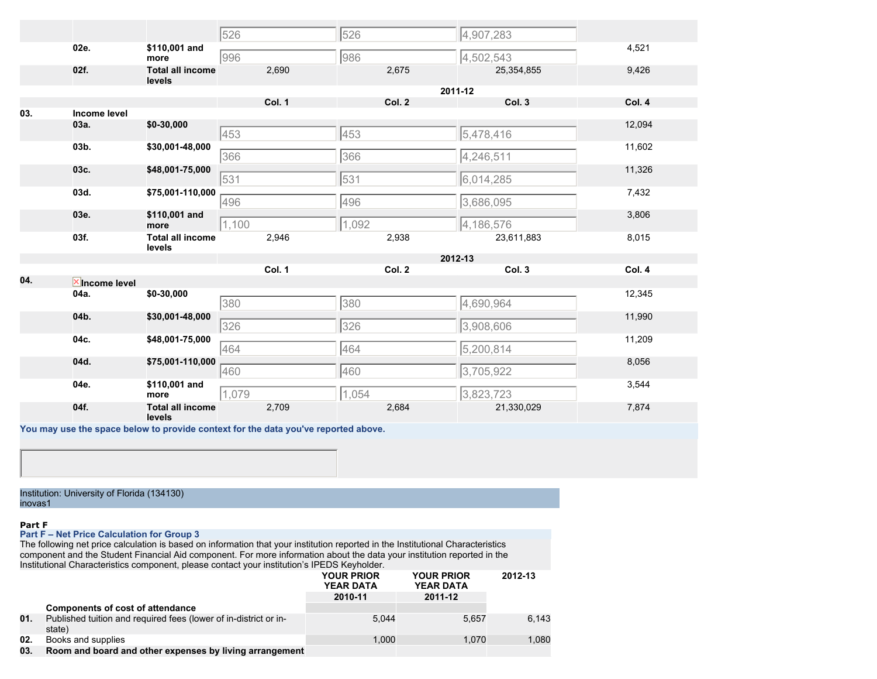|                         |                                   | 526            | 526            | 4,907,283               |        |
|-------------------------|-----------------------------------|----------------|----------------|-------------------------|--------|
| 02e.                    | \$110,001 and<br>more             | 996            | 986            | 4,502,543               | 4,521  |
| 02f.                    | <b>Total all income</b><br>levels | 2,690          | 2,675          | 25,354,855              | 9,426  |
|                         |                                   |                |                | 2011-12                 |        |
|                         |                                   | Col. 1         | Col. 2         | Col. 3                  | Col. 4 |
| 03.<br>Income level     |                                   |                |                |                         |        |
| 03a.                    | \$0-30,000                        | 453            | 453            | 5,478,416               | 12,094 |
| 03b.                    | \$30,001-48,000                   | 366            | 366            | 4,246,511               | 11,602 |
| 03c.                    | \$48,001-75,000                   | 531            | 531            | 6,014,285               | 11,326 |
| 03d.                    | \$75,001-110,000                  | 496            | 496            | 3,686,095               | 7,432  |
| 03e.                    | \$110,001 and<br>more             | 1,100          | 1,092          | 4,186,576               | 3,806  |
| 03f.                    | <b>Total all income</b><br>levels | 2,946          | 2,938          | 23,611,883              | 8,015  |
|                         |                                   |                |                | 2012-13                 |        |
|                         |                                   | Col. 1         | Col. 2         | Col. 3                  | Col. 4 |
| 04.<br>$X$ Income level |                                   |                |                |                         |        |
| 04a.                    | \$0-30,000                        |                |                |                         |        |
|                         |                                   | 380            | 380            | 4,690,964               | 12,345 |
| 04b.                    | \$30,001-48,000                   |                |                |                         | 11,990 |
| 04c.                    | \$48,001-75,000                   | 326            | 326            | 3,908,606               | 11,209 |
| 04d.                    | \$75,001-110,000                  | 464            | 464            | 5,200,814               | 8,056  |
| 04e.                    | \$110,001 and<br>more             | 460            | 460            | 3,705,922               | 3,544  |
| 04f.                    | <b>Total all income</b><br>levels | 1,079<br>2,709 | 1,054<br>2,684 | 3,823,723<br>21,330,029 | 7,874  |

Institution: University of Florida (134130) inovas1

#### **Part F**

#### **Part F – Net Price Calculation for Group 3**

The following net price calculation is based on information that your institution reported in the Institutional Characteristics component and the Student Financial Aid component. For more information about the data your institution reported in the Institutional Characteristics component, please contact your institution's IPEDS Keyholder.

|     |                                                                            | <b>YOUR PRIOR</b><br><b>YEAR DATA</b> | <b>YOUR PRIOR</b><br><b>YEAR DATA</b> | 2012-13 |
|-----|----------------------------------------------------------------------------|---------------------------------------|---------------------------------------|---------|
|     |                                                                            | 2010-11                               | 2011-12                               |         |
|     | <b>Components of cost of attendance</b>                                    |                                       |                                       |         |
| 01. | Published tuition and required fees (lower of in-district or in-<br>state) | 5.044                                 | 5.657                                 | 6.143   |
| 02. | Books and supplies                                                         | 1.000                                 | 1.070                                 | 1,080   |
| 03. | Room and board and other expenses by living arrangement                    |                                       |                                       |         |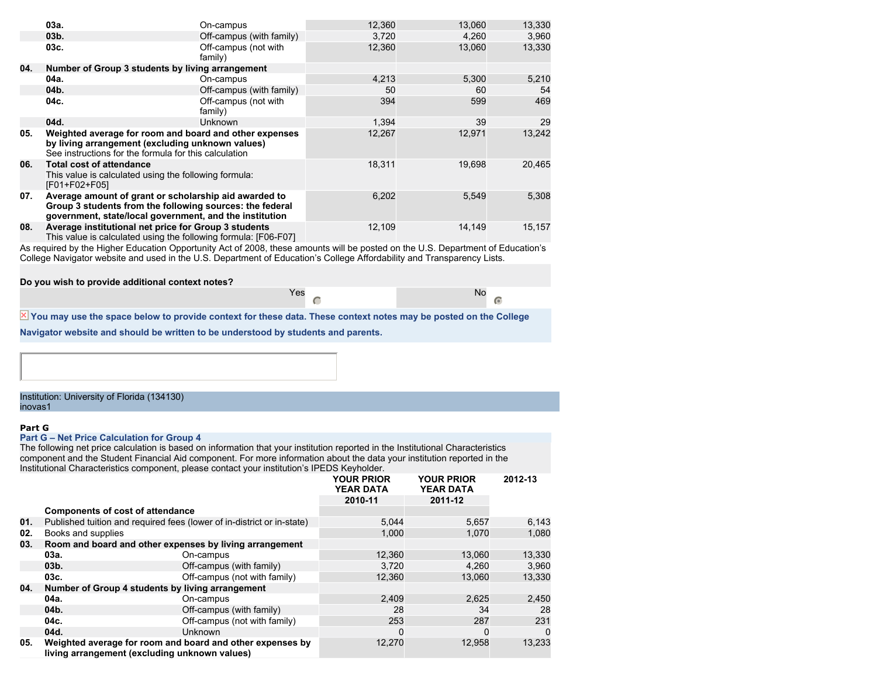|     | 03a.                                                                                                                                                                         | On-campus                       | 12,360 | 13,060 | 13,330 |
|-----|------------------------------------------------------------------------------------------------------------------------------------------------------------------------------|---------------------------------|--------|--------|--------|
|     | 03 <sub>b</sub>                                                                                                                                                              | Off-campus (with family)        | 3,720  | 4,260  | 3,960  |
|     | 03c.                                                                                                                                                                         | Off-campus (not with<br>family) | 12,360 | 13,060 | 13,330 |
| 04. | Number of Group 3 students by living arrangement                                                                                                                             |                                 |        |        |        |
|     | 04a.                                                                                                                                                                         | On-campus                       | 4,213  | 5,300  | 5,210  |
|     | 04b.                                                                                                                                                                         | Off-campus (with family)        | 50     | 60     | 54     |
|     | 04c.                                                                                                                                                                         | Off-campus (not with<br>family) | 394    | 599    | 469    |
|     | 04d.                                                                                                                                                                         | <b>Unknown</b>                  | 1.394  | 39     | 29     |
| 05. | Weighted average for room and board and other expenses<br>by living arrangement (excluding unknown values)<br>See instructions for the formula for this calculation          |                                 | 12,267 | 12,971 | 13,242 |
| 06. | <b>Total cost of attendance</b><br>This value is calculated using the following formula:<br>[F01+F02+F05]                                                                    |                                 | 18,311 | 19,698 | 20,465 |
| 07. | Average amount of grant or scholarship aid awarded to<br>Group 3 students from the following sources: the federal<br>government, state/local government, and the institution |                                 | 6,202  | 5,549  | 5,308  |
| 08. | Average institutional net price for Group 3 students<br>This value is calculated using the following formula: [F06-F07]                                                      |                                 | 12,109 | 14,149 | 15,157 |

As required by the Higher Education Opportunity Act of 2008, these amounts will be posted on the U.S. Department of Education's College Navigator website and used in the U.S. Department of Education's College Affordability and Transparency Lists.

Yes No. 2008. In the North State of the North State of the North State of the North State of the North State o

 $\overline{G}$ 

#### **Do you wish to provide additional context notes?**

 $\overline{X}$  You may use the space below to provide context for these data. These context notes may be posted on the College

**Navigator website and should be written to be understood by students and parents.**

#### Institution: University of Florida (134130) inovas1

#### **Part G**

#### **Part G – Net Price Calculation for Group 4**

The following net price calculation is based on information that your institution reported in the Institutional Characteristics component and the Student Financial Aid component. For more information about the data your institution reported in the Institutional Characteristics component, please contact your institution's IPEDS Keyholder.

|     |                                         |                                                                                                            | <b>YOUR PRIOR</b><br><b>YEAR DATA</b> | <b>YOUR PRIOR</b><br><b>YEAR DATA</b> | 2012-13 |
|-----|-----------------------------------------|------------------------------------------------------------------------------------------------------------|---------------------------------------|---------------------------------------|---------|
|     |                                         |                                                                                                            | 2010-11                               | 2011-12                               |         |
|     | <b>Components of cost of attendance</b> |                                                                                                            |                                       |                                       |         |
| 01. |                                         | Published tuition and required fees (lower of in-district or in-state)                                     | 5.044                                 | 5.657                                 | 6,143   |
| 02. | Books and supplies                      |                                                                                                            | 1.000                                 | 1,070                                 | 1,080   |
| 03. |                                         | Room and board and other expenses by living arrangement                                                    |                                       |                                       |         |
|     | 03a.                                    | On-campus                                                                                                  | 12,360                                | 13.060                                | 13,330  |
|     | 03 <sub>b</sub>                         | Off-campus (with family)                                                                                   | 3.720                                 | 4.260                                 | 3,960   |
|     | 03c.                                    | Off-campus (not with family)                                                                               | 12,360                                | 13.060                                | 13,330  |
| 04. |                                         | Number of Group 4 students by living arrangement                                                           |                                       |                                       |         |
|     | 04a.                                    | On-campus                                                                                                  | 2.409                                 | 2.625                                 | 2,450   |
|     | 04b.                                    | Off-campus (with family)                                                                                   | 28                                    | 34                                    | 28      |
|     | 04c.                                    | Off-campus (not with family)                                                                               | 253                                   | 287                                   | 231     |
|     | 04d.                                    | <b>Unknown</b>                                                                                             | n                                     | $\Omega$                              | 0       |
| 05. |                                         | Weighted average for room and board and other expenses by<br>living arrangement (excluding unknown values) | 12,270                                | 12,958                                | 13,233  |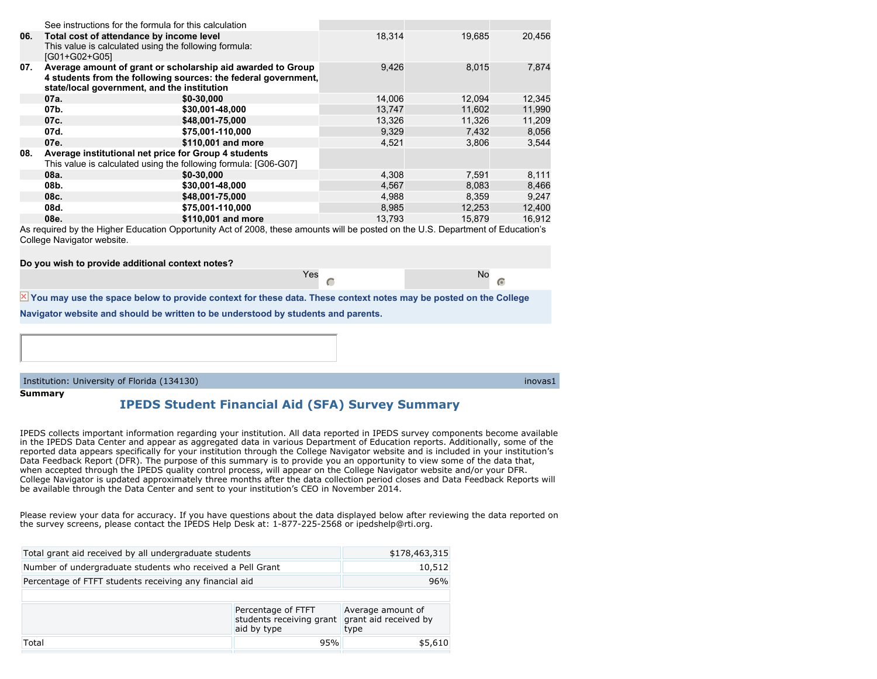|     | See instructions for the formula for this calculation                                                                   |                                                                                                                               |        |        |        |
|-----|-------------------------------------------------------------------------------------------------------------------------|-------------------------------------------------------------------------------------------------------------------------------|--------|--------|--------|
| 06. | Total cost of attendance by income level<br>This value is calculated using the following formula:<br>IG01+G02+G051      |                                                                                                                               | 18,314 | 19.685 | 20,456 |
| 07. | state/local government, and the institution                                                                             | Average amount of grant or scholarship aid awarded to Group<br>4 students from the following sources: the federal government, | 9,426  | 8,015  | 7.874  |
|     | 07a.                                                                                                                    | $$0 - 30,000$                                                                                                                 | 14,006 | 12,094 | 12,345 |
|     | 07b.                                                                                                                    | \$30,001-48,000                                                                                                               | 13,747 | 11.602 | 11,990 |
|     | 07c.                                                                                                                    | \$48,001-75,000                                                                                                               | 13,326 | 11,326 | 11,209 |
|     | 07d.                                                                                                                    | \$75,001-110,000                                                                                                              | 9,329  | 7,432  | 8,056  |
|     | 07e.                                                                                                                    | \$110,001 and more                                                                                                            | 4.521  | 3.806  | 3.544  |
| 08. | Average institutional net price for Group 4 students<br>This value is calculated using the following formula: [G06-G07] |                                                                                                                               |        |        |        |
|     | 08a.                                                                                                                    | \$0-30,000                                                                                                                    | 4,308  | 7,591  | 8,111  |
|     | 08b.                                                                                                                    | \$30,001-48,000                                                                                                               | 4,567  | 8,083  | 8,466  |
|     | 08c.                                                                                                                    | \$48,001-75,000                                                                                                               | 4.988  | 8.359  | 9.247  |
|     | 08d.                                                                                                                    | \$75,001-110,000                                                                                                              | 8,985  | 12,253 | 12,400 |
|     | 08e.                                                                                                                    | \$110,001 and more                                                                                                            | 13,793 | 15.879 | 16.912 |

As required by the Higher Education Opportunity Act of 2008, these amounts will be posted on the U.S. Department of Education's College Navigator website.

| Do you wish to provide additional context notes?                                                                         |     |  |    |  |  |  |
|--------------------------------------------------------------------------------------------------------------------------|-----|--|----|--|--|--|
|                                                                                                                          | Yes |  | No |  |  |  |
| $\times$ You may use the space below to provide context for these data. These context notes may be posted on the College |     |  |    |  |  |  |
| Navigator website and should be written to be understood by students and parents.                                        |     |  |    |  |  |  |

Institution: University of Florida (134130) inovas1

### **Summary**

 $\overline{\mathbf{x}}$ 

### **IPEDS Student Financial Aid (SFA) Survey Summary**

IPEDS collects important information regarding your institution. All data reported in IPEDS survey components become available in the IPEDS Data Center and appear as aggregated data in various Department of Education reports. Additionally, some of the reported data appears specifically for your institution through the College Navigator website and is included in your institution's Data Feedback Report (DFR). The purpose of this summary is to provide you an opportunity to view some of the data that, when accepted through the IPEDS quality control process, will appear on the College Navigator website and/or your DFR. College Navigator is updated approximately three months after the data collection period closes and Data Feedback Reports will be available through the Data Center and sent to your institution's CEO in November 2014.

Please review your data for accuracy. If you have questions about the data displayed below after reviewing the data reported on the survey screens, please contact the IPEDS Help Desk at: 1-877-225-2568 or ipedshelp@rti.org.

| Total grant aid received by all undergraduate students     | \$178,463,315                                      |         |
|------------------------------------------------------------|----------------------------------------------------|---------|
| Number of undergraduate students who received a Pell Grant | 10,512                                             |         |
| Percentage of FTFT students receiving any financial aid    | 96%                                                |         |
|                                                            |                                                    |         |
|                                                            | Average amount of<br>grant aid received by<br>type |         |
| Total                                                      | 95%                                                | \$5,610 |